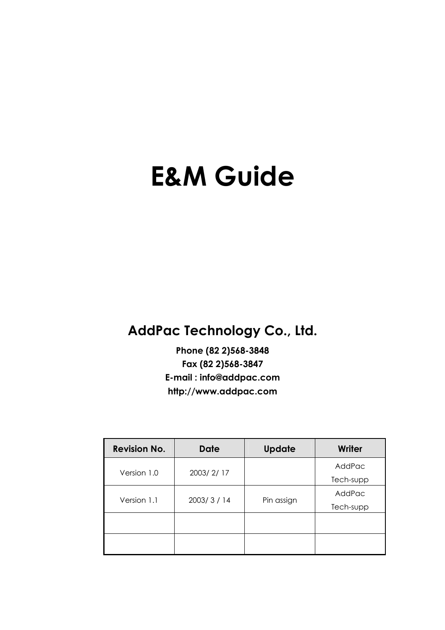# **E&M Guide**

### **AddPac Technology Co., Ltd.**

**Phone (82 2)568-3848 Fax (82 2)568-3847 E-mail : info@addpac.com http://www.addpac.com**

| <b>Revision No.</b> | <b>Date</b> | <b>Update</b> | Writer    |
|---------------------|-------------|---------------|-----------|
| Version 1.0         | 2003/2/17   |               | AddPac    |
|                     |             |               | Tech-supp |
| Version 1.1         | 2003/3/14   | Pin assign    | AddPac    |
|                     |             |               | Tech-supp |
|                     |             |               |           |
|                     |             |               |           |
|                     |             |               |           |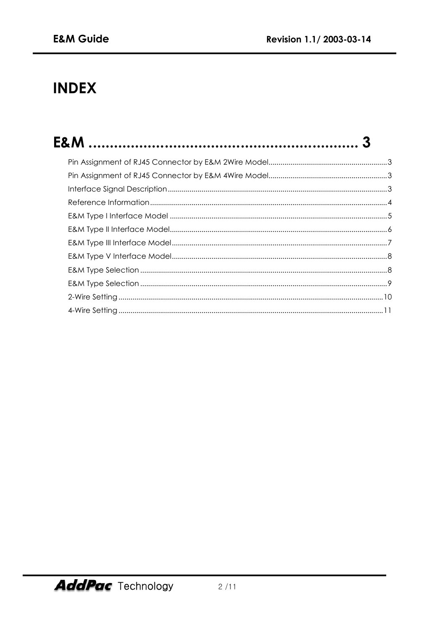## **INDEX**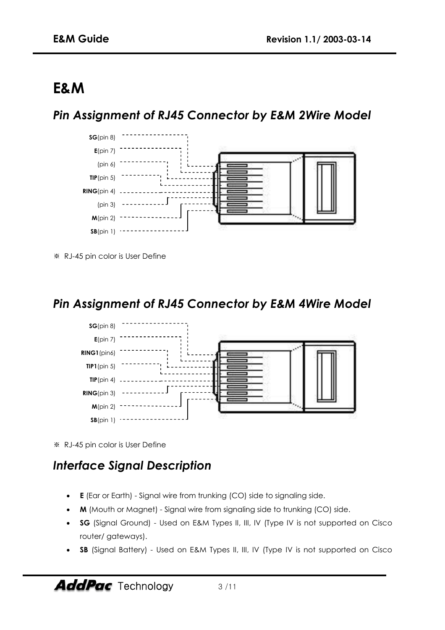## **E&M**

#### *Pin Assignment of RJ45 Connector by E&M 2Wire Model*



※ RJ-45 pin color is User Define

#### *Pin Assignment of RJ45 Connector by E&M 4Wire Model*



※ RJ-45 pin color is User Define

#### *Interface Signal Description*

- **E** (Ear or Earth) Signal wire from trunking (CO) side to signaling side.
- **M** (Mouth or Magnet) Signal wire from signaling side to trunking (CO) side.
- **SG** (Signal Ground) Used on E&M Types II, III, IV (Type IV is not supported on Cisco router/ gateways).
- **SB** (Signal Battery) Used on E&M Types II, III, IV (Type IV is not supported on Cisco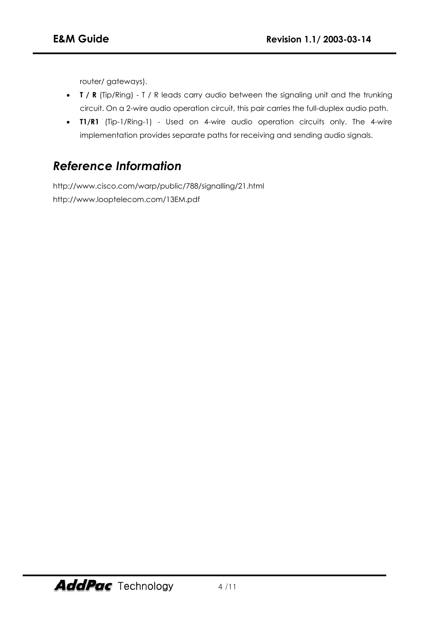router/ gateways).

- **T / R** (Tip/Ring) T / R leads carry audio between the signaling unit and the trunking circuit. On a 2-wire audio operation circuit, this pair carries the full-duplex audio path.
- **T1/R1** (Tip-1/Ring-1) Used on 4-wire audio operation circuits only. The 4-wire implementation provides separate paths for receiving and sending audio signals.

#### *Reference Information*

http://www.cisco.com/warp/public/788/signalling/21.html http://www.looptelecom.com/13EM.pdf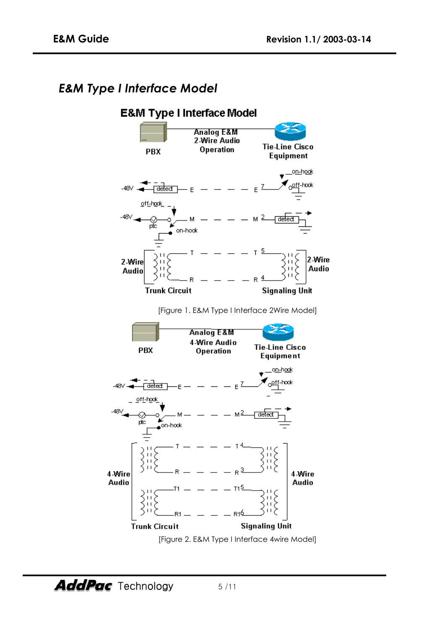#### *E&M Type I Interface Model*

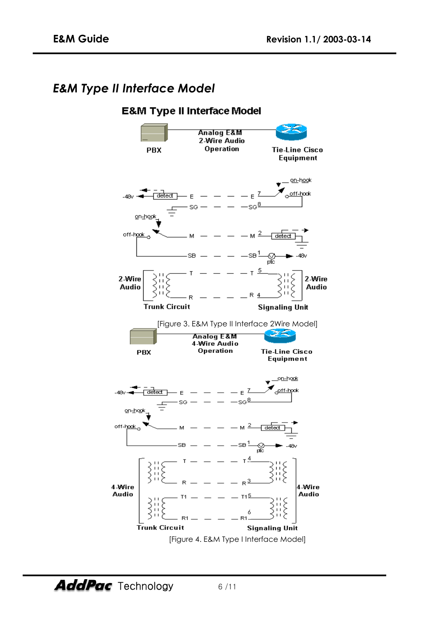#### *E&M Type II Interface Model*

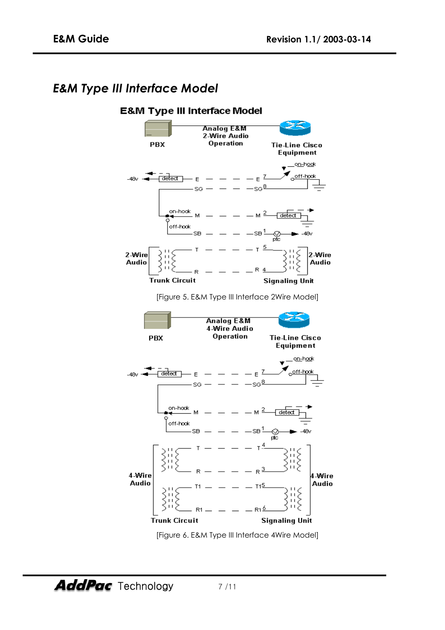#### *E&M Type III Interface Model*



[Figure 6. E&M Type III Interface 4Wire Model]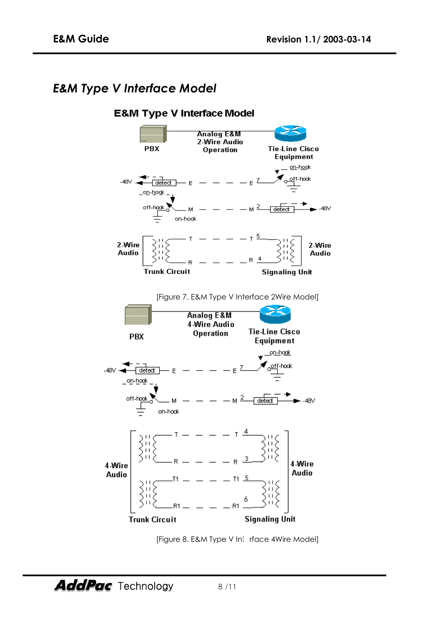#### *E&M Type V Interface Model*



[Figure 8. E&M Type V Interface 4Wire Model]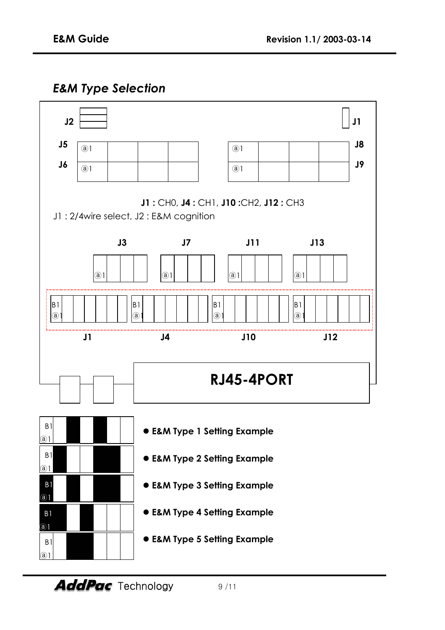#### *E&M Type Selection*

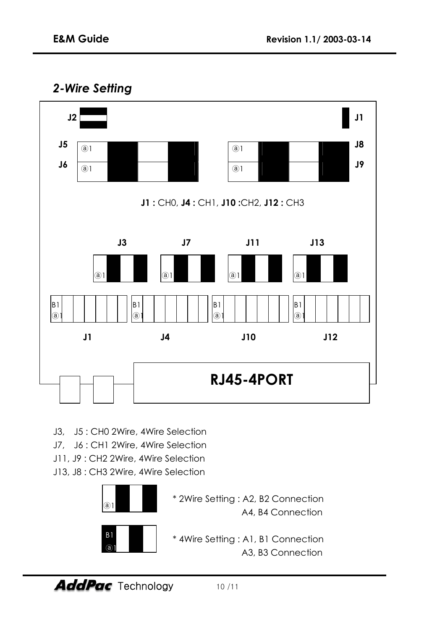#### *2-Wire Setting*



- J3, J5 : CH0 2Wire, 4Wire Selection
- J7, J6 : CH1 2Wire, 4Wire Selection
- J11, J9 : CH2 2Wire, 4Wire Selection
- J13, J8 : CH3 2Wire, 4Wire Selection